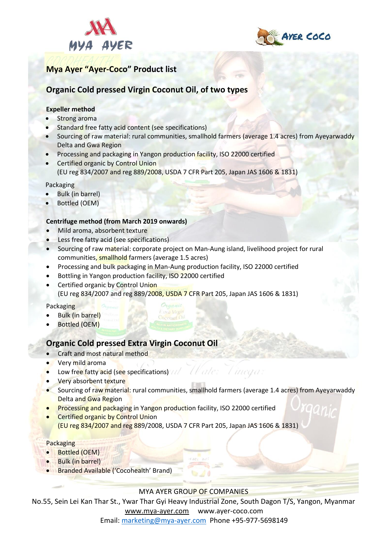



# **Mya Ayer "Ayer-Coco" Product list**

## **Organic Cold pressed Virgin Coconut Oil, of two types**

### **Expeller method**

- Strong aroma
- Standard free fatty acid content (see specifications)
- Sourcing of raw material: rural communities, smallhold farmers (average 1.4 acres) from Ayeyarwaddy Delta and Gwa Region
- Processing and packaging in Yangon production facility, ISO 22000 certified
- **Certified organic by Control Union** (EU reg 834/2007 and reg 889/2008, USDA 7 CFR Part 205, Japan JAS 1606 & 1831)

Packaging

- Bulk (in barrel)
- Bottled (OEM)

#### **Centrifuge method (from March 2019 onwards)**

- Mild aroma, absorbent texture
- Less free fatty acid (see specifications)
- Sourcing of raw material: corporate project on Man-Aung island, livelihood project for rural communities, smallhold farmers (average 1.5 acres)
- Processing and bulk packaging in Man-Aung production facility, ISO 22000 certified
- Bottling in Yangon production facility, ISO 22000 certified
- **Certified organic by Control Union** (EU reg 834/2007 and reg 889/2008, USDA 7 CFR Part 205, Japan JAS 1606 & 1831)

Packaging

- **Bulk (in barrel)**
- Bottled (OEM)

### **Organic Cold pressed Extra Virgin Coconut Oil**

- Craft and most natural method
- Very mild aroma
- Low free fatty acid (see specifications)
- Very absorbent texture
- Sourcing of raw material: rural communities, smallhold farmers (average 1.4 acres) from Ayeyarwaddy Delta and Gwa Region

U alex

A inega

- Processing and packaging in Yangon production facility, ISO 22000 certified
- **Certified organic by Control Union** (EU reg 834/2007 and reg 889/2008, USDA 7 CFR Part 205, Japan JAS 1606 & 1831)

Packaging

- Bottled (OEM)
- Bulk (in barrel)
- Branded Available ('Cocohealth' Brand)

MYA AYER GROUP OF COMPANIES

No.55, Sein Lei Kan Thar St., Ywar Thar Gyi Heavy Industrial Zone, South Dagon T/S, Yangon, Myanmar [www.mya-ayer.com](http://www.mya-ayer.com/) [www.ayer-coco.com](http://www.ayer-coco.com/)

Email: [marketing@mya-ayer.com](mailto:marketing@mya-ayer.com) Phone +95-977-5698149